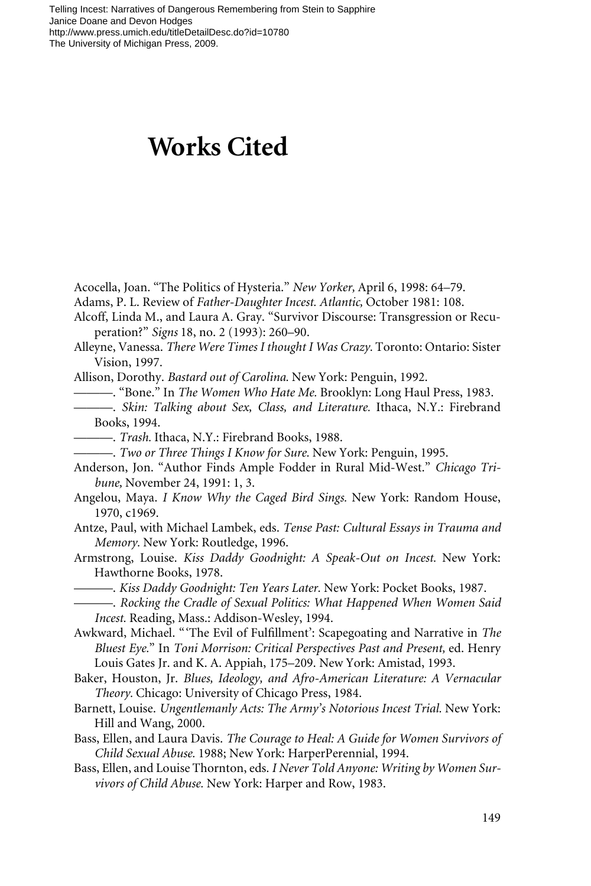## **Works Cited**

Acocella, Joan. "The Politics of Hysteria." *New Yorker,* April 6, 1998: 64–79.

- Adams, P. L. Review of *Father-Daughter Incest. Atlantic,* October 1981: 108.
- Alcoff, Linda M., and Laura A. Gray. "Survivor Discourse: Transgression or Recuperation?" *Signs* 18, no. 2 (1993): 260–90.
- Alleyne, Vanessa. *There Were Times I thought I Was Crazy.* Toronto: Ontario: Sister Vision, 1997.

Allison, Dorothy. *Bastard out of Carolina.* New York: Penguin, 1992.

———. "Bone." In *The Women Who Hate Me.* Brooklyn: Long Haul Press, 1983.

- ———. *Skin: Talking about Sex, Class, and Literature.* Ithaca, N.Y.: Firebrand Books, 1994.
	- ———. *Trash.* Ithaca, N.Y.: Firebrand Books, 1988.
- ———. *Two or Three Things I Know for Sure.* New York: Penguin, 1995.
- Anderson, Jon. "Author Finds Ample Fodder in Rural Mid-West." *Chicago Tribune,* November 24, 1991: 1, 3.
- Angelou, Maya. *I Know Why the Caged Bird Sings.* New York: Random House, 1970, c1969.
- Antze, Paul, with Michael Lambek, eds. *Tense Past: Cultural Essays in Trauma and Memory.* New York: Routledge, 1996.
- Armstrong, Louise. *Kiss Daddy Goodnight: A Speak-Out on Incest.* New York: Hawthorne Books, 1978.
	- ———. *Kiss Daddy Goodnight: Ten Years Later.* New York: Pocket Books, 1987.
- ———. *Rocking the Cradle of Sexual Politics: What Happened When Women Said Incest.* Reading, Mass.: Addison-Wesley, 1994.
- Awkward, Michael. "'The Evil of Fulfillment': Scapegoating and Narrative in *The Bluest Eye.*" In *Toni Morrison: Critical Perspectives Past and Present,* ed. Henry Louis Gates Jr. and K. A. Appiah, 175–209. New York: Amistad, 1993.
- Baker, Houston, Jr. *Blues, Ideology, and Afro-American Literature: A Vernacular Theory.* Chicago: University of Chicago Press, 1984.
- Barnett, Louise. *Ungentlemanly Acts: The Army's Notorious Incest Trial.* New York: Hill and Wang, 2000.
- Bass, Ellen, and Laura Davis. *The Courage to Heal: A Guide for Women Survivors of Child Sexual Abuse.* 1988; New York: HarperPerennial, 1994.
- Bass, Ellen, and Louise Thornton, eds. *I Never Told Anyone: Writing by Women Survivors of Child Abuse.* New York: Harper and Row, 1983.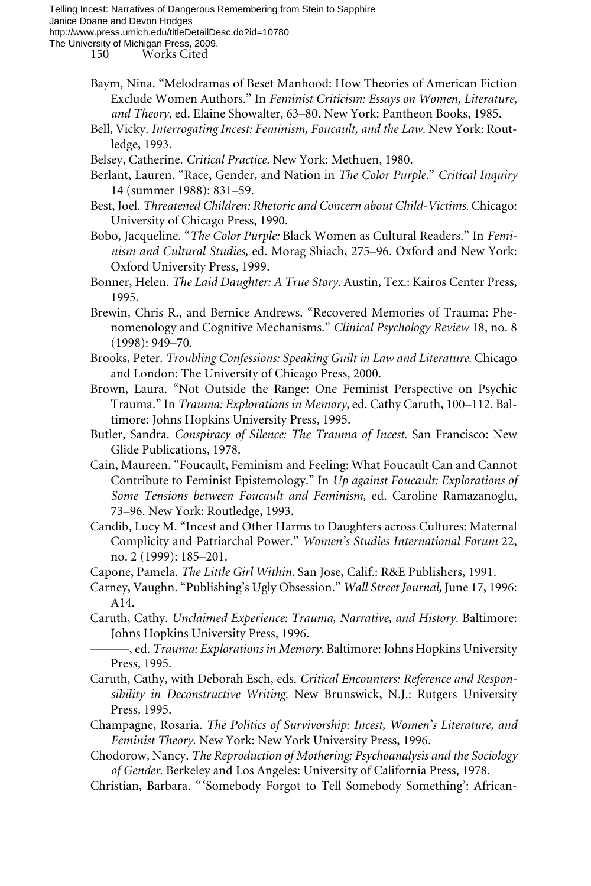150 Works Cited

- Baym, Nina. "Melodramas of Beset Manhood: How Theories of American Fiction Exclude Women Authors." In *Feminist Criticism: Essays on Women, Literature, and Theory,* ed. Elaine Showalter, 63–80. New York: Pantheon Books, 1985.
- Bell, Vicky. *Interrogating Incest: Feminism, Foucault, and the Law.* New York: Routledge, 1993.
- Belsey, Catherine. *Critical Practice.* New York: Methuen, 1980.
- Berlant, Lauren. "Race, Gender, and Nation in *The Color Purple.*" *Critical Inquiry* 14 (summer 1988): 831–59.
- Best, Joel. *Threatened Children: Rhetoric and Concern about Child-Victims.* Chicago: University of Chicago Press, 1990.
- Bobo, Jacqueline. "*The Color Purple:* Black Women as Cultural Readers." In *Feminism and Cultural Studies,* ed. Morag Shiach, 275–96. Oxford and New York: Oxford University Press, 1999.
- Bonner, Helen. *The Laid Daughter: A True Story.* Austin, Tex.: Kairos Center Press, 1995.
- Brewin, Chris R., and Bernice Andrews. "Recovered Memories of Trauma: Phenomenology and Cognitive Mechanisms." *Clinical Psychology Review* 18, no. 8 (1998): 949–70.
- Brooks, Peter. *Troubling Confessions: Speaking Guilt in Law and Literature.* Chicago and London: The University of Chicago Press, 2000.
- Brown, Laura. "Not Outside the Range: One Feminist Perspective on Psychic Trauma." In *Trauma: Explorations in Memory,* ed. Cathy Caruth, 100–112. Baltimore: Johns Hopkins University Press, 1995.
- Butler, Sandra. *Conspiracy of Silence: The Trauma of Incest.* San Francisco: New Glide Publications, 1978.
- Cain, Maureen. "Foucault, Feminism and Feeling: What Foucault Can and Cannot Contribute to Feminist Epistemology." In *Up against Foucault: Explorations of Some Tensions between Foucault and Feminism,* ed. Caroline Ramazanoglu, 73–96. New York: Routledge, 1993.
- Candib, Lucy M. "Incest and Other Harms to Daughters across Cultures: Maternal Complicity and Patriarchal Power." *Women's Studies International Forum* 22, no. 2 (1999): 185–201.
- Capone, Pamela. *The Little Girl Within.* San Jose, Calif.: R&E Publishers, 1991.
- Carney, Vaughn. "Publishing's Ugly Obsession." *Wall Street Journal,* June 17, 1996: A14.
- Caruth, Cathy. *Unclaimed Experience: Trauma, Narrative, and History.* Baltimore: Johns Hopkins University Press, 1996.

- Caruth, Cathy, with Deborah Esch, eds. *Critical Encounters: Reference and Responsibility in Deconstructive Writing.* New Brunswick, N.J.: Rutgers University Press, 1995.
- Champagne, Rosaria. *The Politics of Survivorship: Incest, Women's Literature, and Feminist Theory.* New York: New York University Press, 1996.
- Chodorow, Nancy. *The Reproduction of Mothering: Psychoanalysis and the Sociology of Gender.* Berkeley and Los Angeles: University of California Press, 1978.
- Christian, Barbara. "'Somebody Forgot to Tell Somebody Something': African-

<sup>———,</sup> ed. *Trauma: Explorations in Memory.* Baltimore: Johns Hopkins University Press, 1995.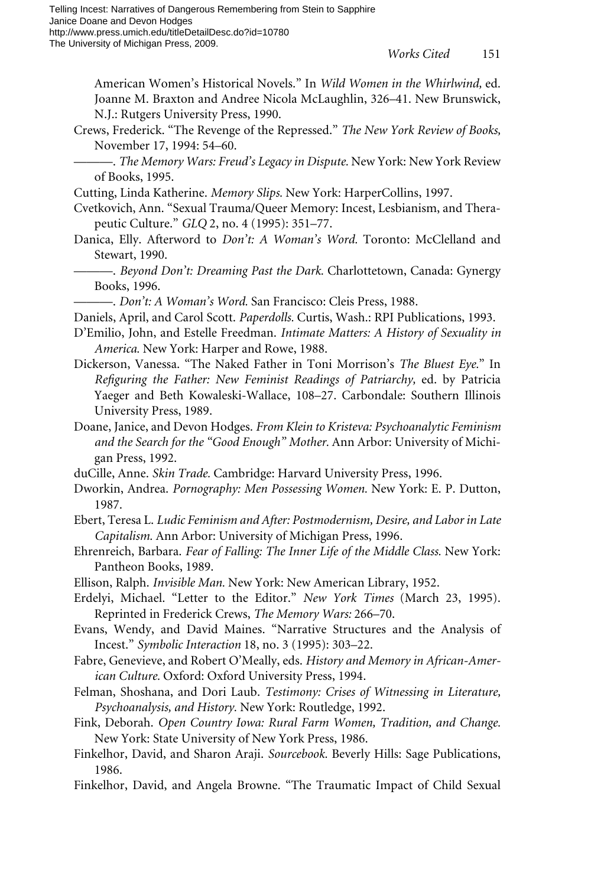American Women's Historical Novels." In *Wild Women in the Whirlwind,* ed. Joanne M. Braxton and Andree Nicola McLaughlin, 326–41. New Brunswick, N.J.: Rutgers University Press, 1990.

Crews, Frederick. "The Revenge of the Repressed." *The New York Review of Books,* November 17, 1994: 54–60.

———. *The Memory Wars: Freud's Legacy in Dispute.* New York: New York Review of Books, 1995.

Cutting, Linda Katherine. *Memory Slips.* New York: HarperCollins, 1997.

- Cvetkovich, Ann. "Sexual Trauma/Queer Memory: Incest, Lesbianism, and Therapeutic Culture." *GLQ* 2, no. 4 (1995): 351–77.
- Danica, Elly. Afterword to *Don't: A Woman's Word.* Toronto: McClelland and Stewart, 1990.
	- ———. *Beyond Don't: Dreaming Past the Dark.* Charlottetown, Canada: Gynergy Books, 1996.
- ———. *Don't: A Woman's Word.* San Francisco: Cleis Press, 1988.
- Daniels, April, and Carol Scott. *Paperdolls.* Curtis, Wash.: RPI Publications, 1993.
- D'Emilio, John, and Estelle Freedman. *Intimate Matters: A History of Sexuality in America.* New York: Harper and Rowe, 1988.
- Dickerson, Vanessa. "The Naked Father in Toni Morrison's *The Bluest Eye.*" In Refiguring the Father: New Feminist Readings of Patriarchy, ed. by Patricia Yaeger and Beth Kowaleski-Wallace, 108–27. Carbondale: Southern Illinois University Press, 1989.
- Doane, Janice, and Devon Hodges. *From Klein to Kristeva: Psychoanalytic Feminism and the Search for the "Good Enough" Mother.* Ann Arbor: University of Michigan Press, 1992.
- duCille, Anne. *Skin Trade.* Cambridge: Harvard University Press, 1996.
- Dworkin, Andrea. *Pornography: Men Possessing Women.* New York: E. P. Dutton, 1987.
- Ebert, Teresa L. *Ludic Feminism and After: Postmodernism, Desire, and Labor in Late Capitalism.* Ann Arbor: University of Michigan Press, 1996.
- Ehrenreich, Barbara. *Fear of Falling: The Inner Life of the Middle Class.* New York: Pantheon Books, 1989.
- Ellison, Ralph. *Invisible Man.* New York: New American Library, 1952.
- Erdelyi, Michael. "Letter to the Editor." *New York Times* (March 23, 1995). Reprinted in Frederick Crews, *The Memory Wars:* 266–70.
- Evans, Wendy, and David Maines. "Narrative Structures and the Analysis of Incest." *Symbolic Interaction* 18, no. 3 (1995): 303–22.
- Fabre, Genevieve, and Robert O'Meally, eds. *History and Memory in African-American Culture.* Oxford: Oxford University Press, 1994.
- Felman, Shoshana, and Dori Laub. *Testimony: Crises of Witnessing in Literature, Psychoanalysis, and History.* New York: Routledge, 1992.
- Fink, Deborah. *Open Country Iowa: Rural Farm Women, Tradition, and Change.* New York: State University of New York Press, 1986.
- Finkelhor, David, and Sharon Araji. *Sourcebook.* Beverly Hills: Sage Publications, 1986.
- Finkelhor, David, and Angela Browne. "The Traumatic Impact of Child Sexual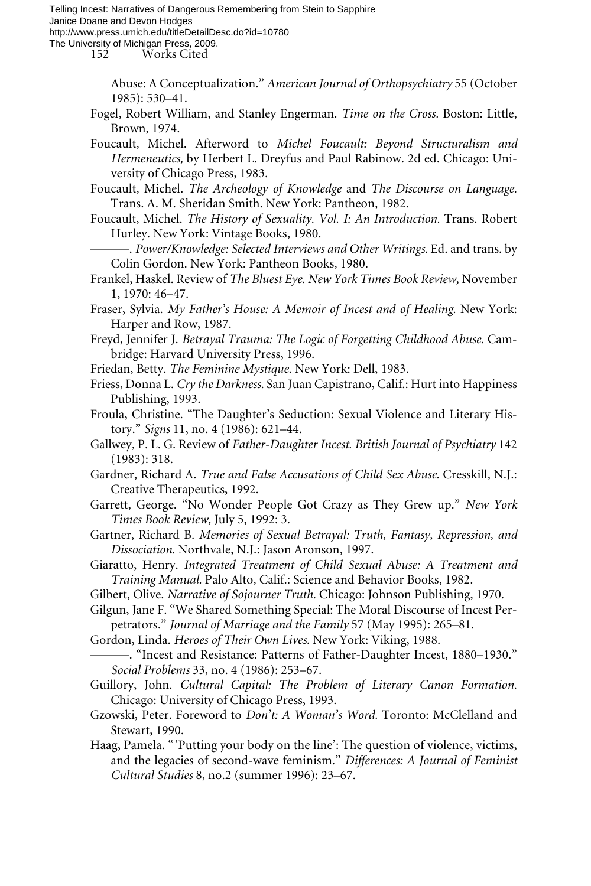Telling Incest: Narratives of Dangerous Remembering from Stein to Sapphire Janice Doane and Devon Hodges http://www.press.umich.edu/titleDetailDesc.do?id=10780

The University of Michigan Press, 2009.

152 Works Cited

Abuse: A Conceptualization." *American Journal of Orthopsychiatry* 55 (October 1985): 530–41.

Fogel, Robert William, and Stanley Engerman. *Time on the Cross.* Boston: Little, Brown, 1974.

Foucault, Michel. Afterword to *Michel Foucault: Beyond Structuralism and Hermeneutics,* by Herbert L. Dreyfus and Paul Rabinow. 2d ed. Chicago: University of Chicago Press, 1983.

Foucault, Michel. *The Archeology of Knowledge* and *The Discourse on Language.* Trans. A. M. Sheridan Smith. New York: Pantheon, 1982.

Foucault, Michel. *The History of Sexuality. Vol. I: An Introduction.* Trans. Robert Hurley. New York: Vintage Books, 1980.

———. *Power/Knowledge: Selected Interviews and Other Writings.* Ed. and trans. by Colin Gordon. New York: Pantheon Books, 1980.

Frankel, Haskel. Review of *The Bluest Eye. New York Times Book Review,* November 1, 1970: 46–47.

Fraser, Sylvia. *My Father's House: A Memoir of Incest and of Healing.* New York: Harper and Row, 1987.

Freyd, Jennifer J. *Betrayal Trauma: The Logic of Forgetting Childhood Abuse.* Cambridge: Harvard University Press, 1996.

- Friedan, Betty. *The Feminine Mystique.* New York: Dell, 1983.
- Friess, Donna L. *Cry the Darkness.* San Juan Capistrano, Calif.: Hurt into Happiness Publishing, 1993.

Froula, Christine. "The Daughter's Seduction: Sexual Violence and Literary History." *Signs* 11, no. 4 (1986): 621–44.

Gallwey, P. L. G. Review of *Father-Daughter Incest. British Journal of Psychiatry* 142 (1983): 318.

Gardner, Richard A. *True and False Accusations of Child Sex Abuse.* Cresskill, N.J.: Creative Therapeutics, 1992.

- Garrett, George. "No Wonder People Got Crazy as They Grew up." *New York Times Book Review,* July 5, 1992: 3.
- Gartner, Richard B. *Memories of Sexual Betrayal: Truth, Fantasy, Repression, and Dissociation.* Northvale, N.J.: Jason Aronson, 1997.
- Giaratto, Henry. *Integrated Treatment of Child Sexual Abuse: A Treatment and Training Manual.* Palo Alto, Calif.: Science and Behavior Books, 1982.
- Gilbert, Olive. *Narrative of Sojourner Truth.* Chicago: Johnson Publishing, 1970.
- Gilgun, Jane F. "We Shared Something Special: The Moral Discourse of Incest Perpetrators." *Journal of Marriage and the Family* 57 (May 1995): 265–81.
- Gordon, Linda. *Heroes of Their Own Lives.* New York: Viking, 1988.
- ———. "Incest and Resistance: Patterns of Father-Daughter Incest, 1880–1930." *Social Problems* 33, no. 4 (1986): 253–67.
- Guillory, John. *Cultural Capital: The Problem of Literary Canon Formation.* Chicago: University of Chicago Press, 1993.
- Gzowski, Peter. Foreword to *Don't: A Woman's Word.* Toronto: McClelland and Stewart, 1990.
- Haag, Pamela. "'Putting your body on the line': The question of violence, victims, and the legacies of second-wave feminism." *Differences: A Journal of Feminist Cultural Studies* 8, no.2 (summer 1996): 23–67.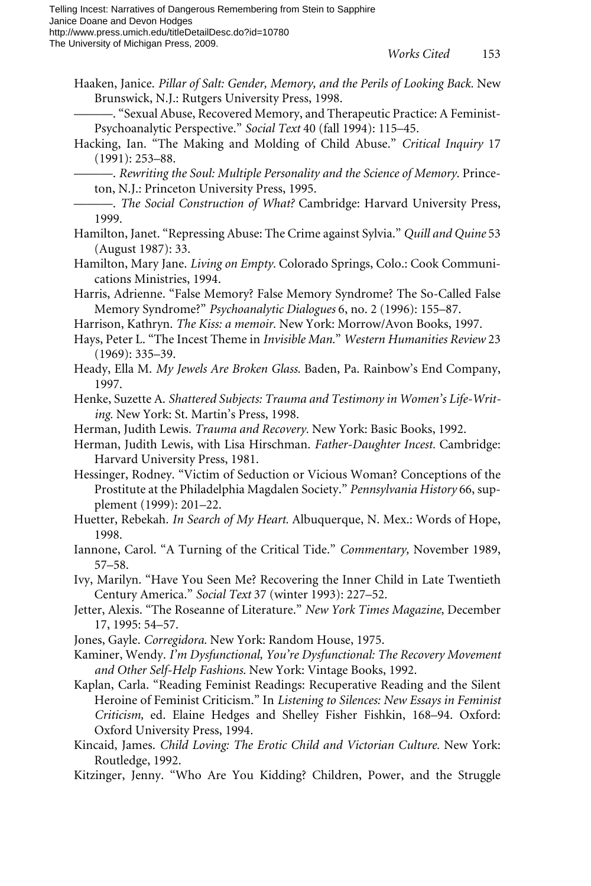- Haaken, Janice. *Pillar of Salt: Gender, Memory, and the Perils of Looking Back.* New Brunswick, N.J.: Rutgers University Press, 1998.
- ———. "Sexual Abuse, Recovered Memory, and Therapeutic Practice: A Feminist-Psychoanalytic Perspective." *Social Text* 40 (fall 1994): 115–45.
- Hacking, Ian. "The Making and Molding of Child Abuse." *Critical Inquiry* 17 (1991): 253–88.

———. *Rewriting the Soul: Multiple Personality and the Science of Memory.* Princeton, N.J.: Princeton University Press, 1995.

- ———. *The Social Construction of What?* Cambridge: Harvard University Press, 1999.
- Hamilton, Janet. "Repressing Abuse: The Crime against Sylvia." *Quill and Quine* 53 (August 1987): 33.
- Hamilton, Mary Jane. *Living on Empty.* Colorado Springs, Colo.: Cook Communications Ministries, 1994.
- Harris, Adrienne. "False Memory? False Memory Syndrome? The So-Called False Memory Syndrome?" *Psychoanalytic Dialogues* 6, no. 2 (1996): 155–87.
- Harrison, Kathryn. *The Kiss: a memoir.* New York: Morrow/Avon Books, 1997.
- Hays, Peter L. "The Incest Theme in *Invisible Man.*" *Western Humanities Review* 23 (1969): 335–39.
- Heady, Ella M. *My Jewels Are Broken Glass.* Baden, Pa. Rainbow's End Company, 1997.
- Henke, Suzette A. *Shattered Subjects: Trauma and Testimony in Women's Life-Writing.* New York: St. Martin's Press, 1998.
- Herman, Judith Lewis. *Trauma and Recovery.* New York: Basic Books, 1992.
- Herman, Judith Lewis, with Lisa Hirschman. *Father-Daughter Incest.* Cambridge: Harvard University Press, 1981.
- Hessinger, Rodney. "Victim of Seduction or Vicious Woman? Conceptions of the Prostitute at the Philadelphia Magdalen Society." *Pennsylvania History* 66, supplement (1999): 201–22.
- Huetter, Rebekah. *In Search of My Heart.* Albuquerque, N. Mex.: Words of Hope, 1998.
- Iannone, Carol. "A Turning of the Critical Tide." *Commentary,* November 1989, 57–58.
- Ivy, Marilyn. "Have You Seen Me? Recovering the Inner Child in Late Twentieth Century America." *Social Text* 37 (winter 1993): 227–52.
- Jetter, Alexis. "The Roseanne of Literature." *New York Times Magazine,* December 17, 1995: 54–57.
- Jones, Gayle. *Corregidora.* New York: Random House, 1975.
- Kaminer, Wendy. *I'm Dysfunctional, You're Dysfunctional: The Recovery Movement and Other Self-Help Fashions.* New York: Vintage Books, 1992.
- Kaplan, Carla. "Reading Feminist Readings: Recuperative Reading and the Silent Heroine of Feminist Criticism." In *Listening to Silences: New Essays in Feminist Criticism,* ed. Elaine Hedges and Shelley Fisher Fishkin, 168–94. Oxford: Oxford University Press, 1994.
- Kincaid, James. *Child Loving: The Erotic Child and Victorian Culture.* New York: Routledge, 1992.
- Kitzinger, Jenny. "Who Are You Kidding? Children, Power, and the Struggle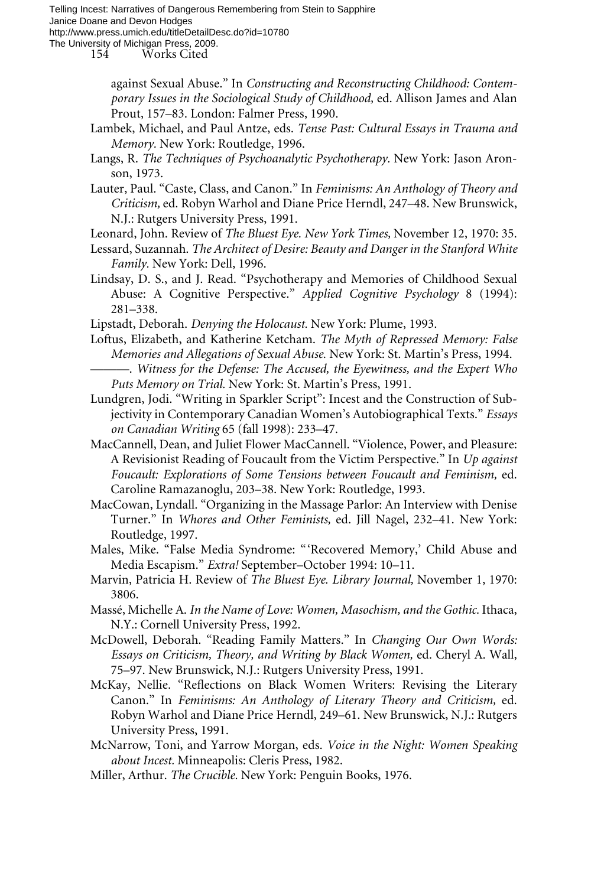Telling Incest: Narratives of Dangerous Remembering from Stein to Sapphire Janice Doane and Devon Hodges http://www.press.umich.edu/titleDetailDesc.do?id=10780

The University of Michigan Press, 2009.

154 Works Cited

against Sexual Abuse." In *Constructing and Reconstructing Childhood: Contemporary Issues in the Sociological Study of Childhood,* ed. Allison James and Alan Prout, 157–83. London: Falmer Press, 1990.

- Lambek, Michael, and Paul Antze, eds. *Tense Past: Cultural Essays in Trauma and Memory.* New York: Routledge, 1996.
- Langs, R. *The Techniques of Psychoanalytic Psychotherapy.* New York: Jason Aronson, 1973.
- Lauter, Paul. "Caste, Class, and Canon." In *Feminisms: An Anthology of Theory and Criticism,* ed. Robyn Warhol and Diane Price Herndl, 247–48. New Brunswick, N.J.: Rutgers University Press, 1991.
- Leonard, John. Review of *The Bluest Eye. New York Times,* November 12, 1970: 35.
- Lessard, Suzannah. *The Architect of Desire: Beauty and Danger in the Stanford White Family.* New York: Dell, 1996.
- Lindsay, D. S., and J. Read. "Psychotherapy and Memories of Childhood Sexual Abuse: A Cognitive Perspective." *Applied Cognitive Psychology* 8 (1994): 281–338.
- Lipstadt, Deborah. *Denying the Holocaust.* New York: Plume, 1993.
- Loftus, Elizabeth, and Katherine Ketcham. *The Myth of Repressed Memory: False Memories and Allegations of Sexual Abuse.* New York: St. Martin's Press, 1994.
	- ———. *Witness for the Defense: The Accused, the Eyewitness, and the Expert Who Puts Memory on Trial.* New York: St. Martin's Press, 1991.
- Lundgren, Jodi. "Writing in Sparkler Script": Incest and the Construction of Subjectivity in Contemporary Canadian Women's Autobiographical Texts." *Essays on Canadian Writing* 65 (fall 1998): 233–47.
- MacCannell, Dean, and Juliet Flower MacCannell. "Violence, Power, and Pleasure: A Revisionist Reading of Foucault from the Victim Perspective." In *Up against Foucault: Explorations of Some Tensions between Foucault and Feminism,* ed. Caroline Ramazanoglu, 203–38. New York: Routledge, 1993.
- MacCowan, Lyndall. "Organizing in the Massage Parlor: An Interview with Denise Turner." In *Whores and Other Feminists,* ed. Jill Nagel, 232–41. New York: Routledge, 1997.
- Males, Mike. "False Media Syndrome: "'Recovered Memory,' Child Abuse and Media Escapism." *Extra!* September–October 1994: 10–11.
- Marvin, Patricia H. Review of *The Bluest Eye. Library Journal,* November 1, 1970: 3806.
- Massé, Michelle A. *In the Name of Love: Women, Masochism, and the Gothic.* Ithaca, N.Y.: Cornell University Press, 1992.
- McDowell, Deborah. "Reading Family Matters." In *Changing Our Own Words: Essays on Criticism, Theory, and Writing by Black Women,* ed. Cheryl A. Wall, 75–97. New Brunswick, N.J.: Rutgers University Press, 1991.
- McKay, Nellie. "Reflections on Black Women Writers: Revising the Literary Canon." In *Feminisms: An Anthology of Literary Theory and Criticism,* ed. Robyn Warhol and Diane Price Herndl, 249–61. New Brunswick, N.J.: Rutgers University Press, 1991.
- McNarrow, Toni, and Yarrow Morgan, eds. *Voice in the Night: Women Speaking about Incest.* Minneapolis: Cleris Press, 1982.
- Miller, Arthur. *The Crucible.* New York: Penguin Books, 1976.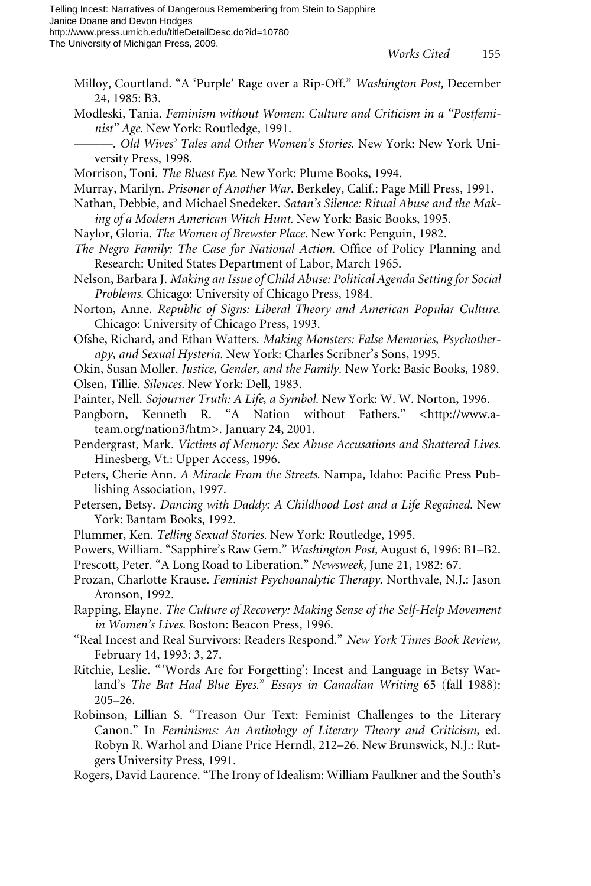- Milloy, Courtland. "A 'Purple' Rage over a Rip-Off." *Washington Post,* December 24, 1985: B3.
- Modleski, Tania. *Feminism without Women: Culture and Criticism in a "Postfeminist" Age.* New York: Routledge, 1991.
- ———. *Old Wives' Tales and Other Women's Stories.* New York: New York University Press, 1998.
- Morrison, Toni. *The Bluest Eye.* New York: Plume Books, 1994.
- Murray, Marilyn. *Prisoner of Another War.* Berkeley, Calif.: Page Mill Press, 1991.
- Nathan, Debbie, and Michael Snedeker. *Satan's Silence: Ritual Abuse and the Making of a Modern American Witch Hunt.* New York: Basic Books, 1995.
- Naylor, Gloria. *The Women of Brewster Place.* New York: Penguin, 1982.
- *The Negro Family: The Case for National Action. Office of Policy Planning and* Research: United States Department of Labor, March 1965.
- Nelson, Barbara J. *Making an Issue of Child Abuse: Political Agenda Setting for Social Problems.* Chicago: University of Chicago Press, 1984.
- Norton, Anne. *Republic of Signs: Liberal Theory and American Popular Culture.* Chicago: University of Chicago Press, 1993.
- Ofshe, Richard, and Ethan Watters. *Making Monsters: False Memories, Psychotherapy, and Sexual Hysteria.* New York: Charles Scribner's Sons, 1995.
- Okin, Susan Moller. *Justice, Gender, and the Family.* New York: Basic Books, 1989.
- Olsen, Tillie. *Silences.* New York: Dell, 1983.
- Painter, Nell. *Sojourner Truth: A Life, a Symbol.* New York: W. W. Norton, 1996.
- Pangborn, Kenneth R. "A Nation without Fathers." <http://www.ateam.org/nation3/htm>. January 24, 2001.
- Pendergrast, Mark. *Victims of Memory: Sex Abuse Accusations and Shattered Lives.* Hinesberg, Vt.: Upper Access, 1996.
- Peters, Cherie Ann. *A Miracle From the Streets*. Nampa, Idaho: Pacific Press Publishing Association, 1997.
- Petersen, Betsy. *Dancing with Daddy: A Childhood Lost and a Life Regained.* New York: Bantam Books, 1992.
- Plummer, Ken. *Telling Sexual Stories.* New York: Routledge, 1995.
- Powers, William. "Sapphire's Raw Gem." *Washington Post,* August 6, 1996: B1–B2.
- Prescott, Peter. "A Long Road to Liberation." *Newsweek,* June 21, 1982: 67.
- Prozan, Charlotte Krause. *Feminist Psychoanalytic Therapy.* Northvale, N.J.: Jason Aronson, 1992.
- Rapping, Elayne. *The Culture of Recovery: Making Sense of the Self-Help Movement in Women's Lives.* Boston: Beacon Press, 1996.
- "Real Incest and Real Survivors: Readers Respond." *New York Times Book Review,* February 14, 1993: 3, 27.
- Ritchie, Leslie. "'Words Are for Forgetting': Incest and Language in Betsy Warland's *The Bat Had Blue Eyes.*" *Essays in Canadian Writing* 65 (fall 1988): 205–26.
- Robinson, Lillian S. "Treason Our Text: Feminist Challenges to the Literary Canon." In *Feminisms: An Anthology of Literary Theory and Criticism,* ed. Robyn R. Warhol and Diane Price Herndl, 212–26. New Brunswick, N.J.: Rutgers University Press, 1991.
- Rogers, David Laurence. "The Irony of Idealism: William Faulkner and the South's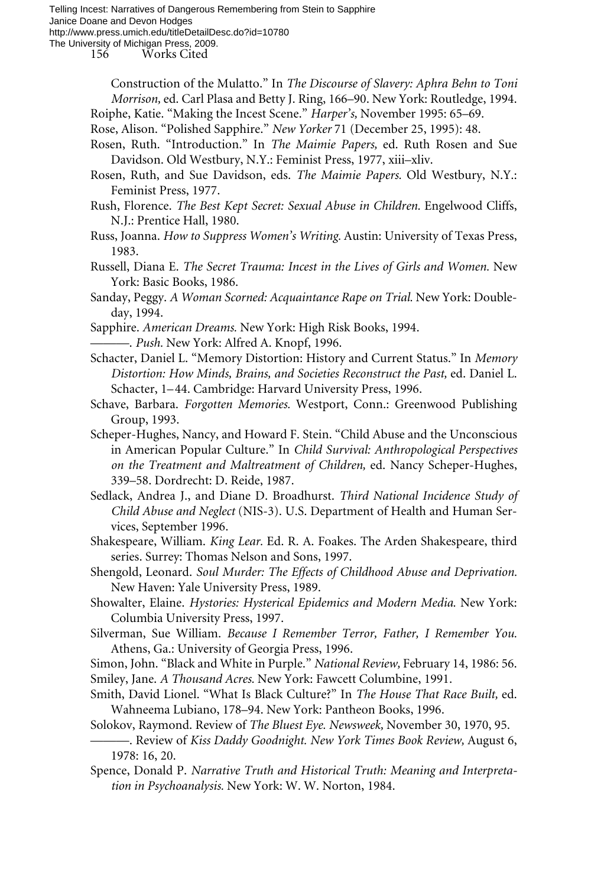156 Works Cited

Construction of the Mulatto." In *The Discourse of Slavery: Aphra Behn to Toni Morrison,* ed. Carl Plasa and Betty J. Ring, 166–90. New York: Routledge, 1994.

Roiphe, Katie. "Making the Incest Scene." *Harper's,* November 1995: 65–69.

- Rose, Alison. "Polished Sapphire." *New Yorker* 71 (December 25, 1995): 48.
- Rosen, Ruth. "Introduction." In *The Maimie Papers,* ed. Ruth Rosen and Sue Davidson. Old Westbury, N.Y.: Feminist Press, 1977, xiii–xliv.
- Rosen, Ruth, and Sue Davidson, eds. *The Maimie Papers.* Old Westbury, N.Y.: Feminist Press, 1977.
- Rush, Florence. *The Best Kept Secret: Sexual Abuse in Children.* Engelwood Cliffs, N.J.: Prentice Hall, 1980.
- Russ, Joanna. *How to Suppress Women's Writing.* Austin: University of Texas Press, 1983.
- Russell, Diana E. *The Secret Trauma: Incest in the Lives of Girls and Women.* New York: Basic Books, 1986.

Sanday, Peggy. *A Woman Scorned: Acquaintance Rape on Trial.* New York: Doubleday, 1994.

Sapphire. *American Dreams.* New York: High Risk Books, 1994.

———. *Push.* New York: Alfred A. Knopf, 1996.

- Schacter, Daniel L. "Memory Distortion: History and Current Status." In *Memory Distortion: How Minds, Brains, and Societies Reconstruct the Past,* ed. Daniel L. Schacter, 1–44. Cambridge: Harvard University Press, 1996.
- Schave, Barbara. *Forgotten Memories.* Westport, Conn.: Greenwood Publishing Group, 1993.
- Scheper-Hughes, Nancy, and Howard F. Stein. "Child Abuse and the Unconscious in American Popular Culture." In *Child Survival: Anthropological Perspectives on the Treatment and Maltreatment of Children,* ed. Nancy Scheper-Hughes, 339–58. Dordrecht: D. Reide, 1987.
- Sedlack, Andrea J., and Diane D. Broadhurst. *Third National Incidence Study of Child Abuse and Neglect* (NIS-3). U.S. Department of Health and Human Services, September 1996.
- Shakespeare, William. *King Lear.* Ed. R. A. Foakes. The Arden Shakespeare, third series. Surrey: Thomas Nelson and Sons, 1997.

Shengold, Leonard. *Soul Murder: The Effects of Childhood Abuse and Deprivation.* New Haven: Yale University Press, 1989.

Showalter, Elaine. *Hystories: Hysterical Epidemics and Modern Media.* New York: Columbia University Press, 1997.

Silverman, Sue William. *Because I Remember Terror, Father, I Remember You.* Athens, Ga.: University of Georgia Press, 1996.

Simon, John. "Black and White in Purple." *National Review,* February 14, 1986: 56. Smiley, Jane. *A Thousand Acres.* New York: Fawcett Columbine, 1991.

- Smith, David Lionel. "What Is Black Culture?" In *The House That Race Built,* ed. Wahneema Lubiano, 178–94. New York: Pantheon Books, 1996.
- Solokov, Raymond. Review of *The Bluest Eye. Newsweek,* November 30, 1970, 95.
- ———. Review of *Kiss Daddy Goodnight. New York Times Book Review,* August 6, 1978: 16, 20.
- Spence, Donald P. *Narrative Truth and Historical Truth: Meaning and Interpretation in Psychoanalysis.* New York: W. W. Norton, 1984.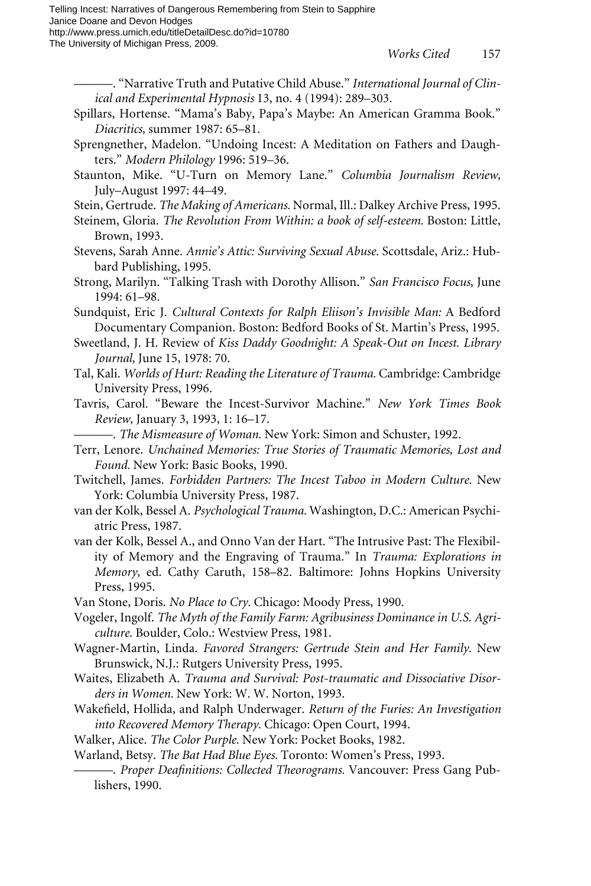- ———. "Narrative Truth and Putative Child Abuse." *International Journal of Clinical and Experimental Hypnosis* 13, no. 4 (1994): 289–303.
- Spillars, Hortense. "Mama's Baby, Papa's Maybe: An American Gramma Book." *Diacritics,* summer 1987: 65–81.
- Sprengnether, Madelon. "Undoing Incest: A Meditation on Fathers and Daughters." *Modern Philology* 1996: 519–36.
- Staunton, Mike. "U-Turn on Memory Lane." *Columbia Journalism Review,* July–August 1997: 44–49.
- Stein, Gertrude. *The Making of Americans.* Normal, Ill.: Dalkey Archive Press, 1995.
- Steinem, Gloria. *The Revolution From Within: a book of self-esteem.* Boston: Little, Brown, 1993.
- Stevens, Sarah Anne. *Annie's Attic: Surviving Sexual Abuse.* Scottsdale, Ariz.: Hubbard Publishing, 1995.
- Strong, Marilyn. "Talking Trash with Dorothy Allison." *San Francisco Focus,* June 1994: 61–98.
- Sundquist, Eric J. *Cultural Contexts for Ralph Eliison's Invisible Man:* A Bedford Documentary Companion. Boston: Bedford Books of St. Martin's Press, 1995.
- Sweetland, J. H. Review of *Kiss Daddy Goodnight: A Speak-Out on Incest. Library Journal,* June 15, 1978: 70.
- Tal, Kali. *Worlds of Hurt: Reading the Literature of Trauma.* Cambridge: Cambridge University Press, 1996.
- Tavris, Carol. "Beware the Incest-Survivor Machine." *New York Times Book Review,* January 3, 1993, 1: 16–17.
	- ———. *The Mismeasure of Woman.* New York: Simon and Schuster, 1992.
- Terr, Lenore. *Unchained Memories: True Stories of Traumatic Memories, Lost and Found.* New York: Basic Books, 1990.
- Twitchell, James. *Forbidden Partners: The Incest Taboo in Modern Culture.* New York: Columbia University Press, 1987.
- van der Kolk, Bessel A. *Psychological Trauma.* Washington, D.C.: American Psychiatric Press, 1987.
- van der Kolk, Bessel A., and Onno Van der Hart. "The Intrusive Past: The Flexibility of Memory and the Engraving of Trauma." In *Trauma: Explorations in Memory,* ed. Cathy Caruth, 158–82. Baltimore: Johns Hopkins University Press, 1995.
- Van Stone, Doris. *No Place to Cry.* Chicago: Moody Press, 1990.
- Vogeler, Ingolf. *The Myth of the Family Farm: Agribusiness Dominance in U.S. Agriculture.* Boulder, Colo.: Westview Press, 1981.
- Wagner-Martin, Linda. *Favored Strangers: Gertrude Stein and Her Family.* New Brunswick, N.J.: Rutgers University Press, 1995.
- Waites, Elizabeth A. *Trauma and Survival: Post-traumatic and Dissociative Disorders in Women.* New York: W. W. Norton, 1993.
- Wakefield, Hollida, and Ralph Underwager. *Return of the Furies: An Investigation into Recovered Memory Therapy.* Chicago: Open Court, 1994.
- Walker, Alice. *The Color Purple.* New York: Pocket Books, 1982.

Warland, Betsy. *The Bat Had Blue Eyes.* Toronto: Women's Press, 1993.

———. *Proper Dea‹nitions: Collected Theorograms.* Vancouver: Press Gang Publishers, 1990.